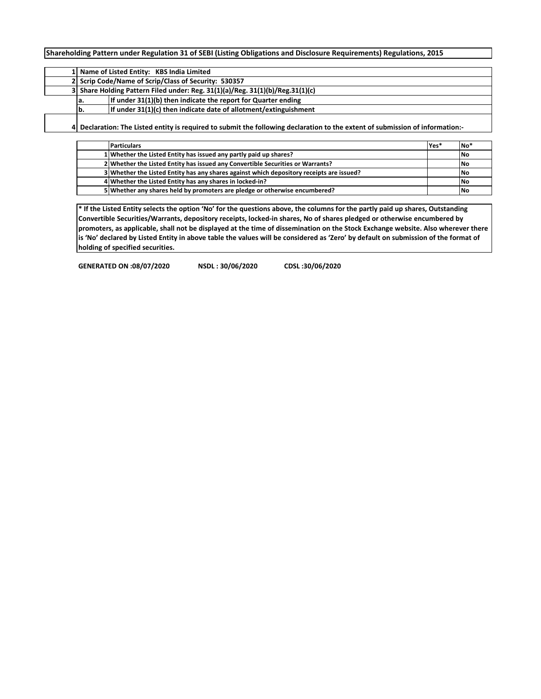**Shareholding Pattern under Regulation 31 of SEBI (Listing Obligations and Disclosure Requirements) Regulations, 2015**

| 1 Name of Listed Entity: KBS India Limited                                    |                                                                                                                             |  |  |  |  |  |  |  |  |  |  |  |  |
|-------------------------------------------------------------------------------|-----------------------------------------------------------------------------------------------------------------------------|--|--|--|--|--|--|--|--|--|--|--|--|
| 2 Scrip Code/Name of Scrip/Class of Security: 530357                          |                                                                                                                             |  |  |  |  |  |  |  |  |  |  |  |  |
| 3 Share Holding Pattern Filed under: Reg. 31(1)(a)/Reg. 31(1)(b)/Reg.31(1)(c) |                                                                                                                             |  |  |  |  |  |  |  |  |  |  |  |  |
| а.                                                                            | If under 31(1)(b) then indicate the report for Quarter ending                                                               |  |  |  |  |  |  |  |  |  |  |  |  |
| lb.                                                                           | If under 31(1)(c) then indicate date of allotment/extinguishment                                                            |  |  |  |  |  |  |  |  |  |  |  |  |
|                                                                               | Declaration: The Listed entity is required to submit the following declaration to the extent of submission of information:- |  |  |  |  |  |  |  |  |  |  |  |  |

**Particulars Yes\* No\* Whether the Listed Entity has issued any partly paid up shares? <b>No No No Whether the Listed Entity has issued any Convertible Securities or Warrants? <b>No No**  Whether the Listed Entity has any shares against which depository receipts are issued?<br> **4** Whether the Listed Entity has any shares in locked-in?<br>
No Whether the Listed Entity has any shares in locked-in? **Whether any shares held by promoters are pledge or otherwise encumbered? No**

**\* If the Listed Entity selects the option 'No' for the questions above, the columns for the partly paid up shares, Outstanding Convertible Securities/Warrants, depository receipts, locked-in shares, No of shares pledged or otherwise encumbered by promoters, as applicable, shall not be displayed at the time of dissemination on the Stock Exchange website. Also wherever there is 'No' declared by Listed Entity in above table the values will be considered as 'Zero' by default on submission of the format of holding of specified securities.**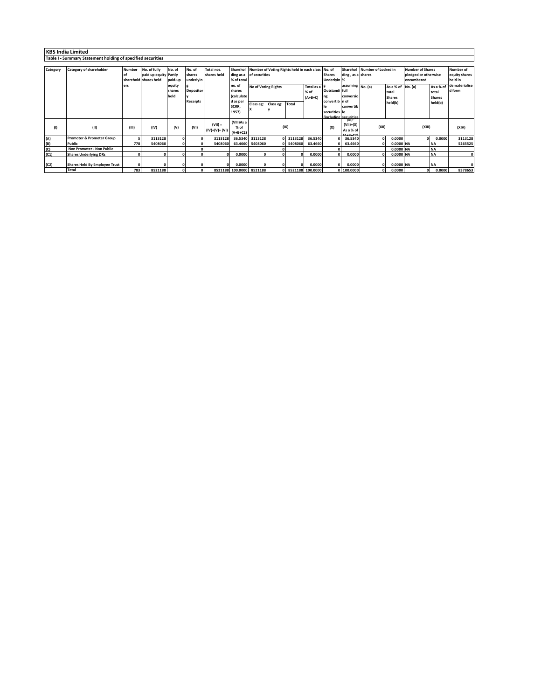|          | <b>KBS India Limited</b>                                    |               |                       |          |                  |                 |                          |                                                            |           |                    |           |                |                                |                              |                   |                         |                  |               |        |  |       |
|----------|-------------------------------------------------------------|---------------|-----------------------|----------|------------------|-----------------|--------------------------|------------------------------------------------------------|-----------|--------------------|-----------|----------------|--------------------------------|------------------------------|-------------------|-------------------------|------------------|---------------|--------|--|-------|
|          | Table I - Summary Statement holding of specified securities |               |                       |          |                  |                 |                          |                                                            |           |                    |           |                |                                |                              |                   |                         |                  |               |        |  |       |
|          |                                                             |               |                       |          |                  |                 |                          |                                                            |           |                    |           |                |                                |                              |                   |                         |                  |               |        |  |       |
| Category | <b>Category of shareholder</b>                              | <b>Number</b> | No. of fully          | No. of   | No. of           | Total nos.      |                          | Sharehol Number of Voting Rights held in each class No. of |           |                    |           |                |                                | Sharehol Number of Locked in |                   | <b>Number of Shares</b> | <b>Number of</b> |               |        |  |       |
|          |                                                             |               | paid up equity Partly |          | shares           | shares held     |                          | ding as a of securities                                    |           |                    |           | <b>Shares</b>  | ding, as a shares              |                              |                   | pledged or otherwise    | equity shares    |               |        |  |       |
|          |                                                             |               | sharehold shares held | paid-up  | underlyin        |                 | % of total               |                                                            |           |                    |           | Underlyin %    |                                |                              |                   | encumbered              |                  | held in       |        |  |       |
|          |                                                             | ers           |                       | equity   | ıg               |                 | no. of                   | No of Voting Rights<br>Total as a B                        |           |                    |           |                | assuming No. (a)               |                              | As a % of No. (a) |                         | As a % of        | dematerialise |        |  |       |
|          |                                                             |               |                       | shares   | <b>Depositor</b> |                 | shares                   | % of                                                       |           |                    |           | Outstandi full |                                |                              | total             |                         | total            | d form        |        |  |       |
|          |                                                             |               |                       | held     |                  |                 | (calculate               |                                                            |           |                    | $(A+B+C)$ | ng             | conversio                      |                              | <b>Shares</b>     |                         | <b>Shares</b>    |               |        |  |       |
|          |                                                             |               |                       |          | <b>Receipts</b>  |                 | d as per                 | Class eg:                                                  | Class eg: | Total              |           | convertib n of |                                |                              | held(b)           |                         | held(b)          |               |        |  |       |
|          |                                                             |               |                       |          |                  |                 | SCRR,                    |                                                            |           |                    |           |                | convertib                      |                              |                   |                         |                  |               |        |  |       |
|          |                                                             |               |                       |          |                  |                 | 1957)                    |                                                            |           |                    |           | securities le  |                                |                              |                   |                         |                  |               |        |  |       |
|          |                                                             |               |                       |          |                  |                 |                          |                                                            |           |                    |           |                | fincluding securities<br>(XI)= |                              |                   |                         |                  |               |        |  |       |
|          |                                                             |               |                       |          |                  | $(VII) =$       | (VIII)As a               |                                                            |           |                    |           |                | $(VII)+(X)$                    |                              |                   |                         |                  |               |        |  |       |
|          | (II)                                                        | (III)         | (IV)                  | (V)      | (VI)             | $(IV)+(V)+(VI)$ | % of                     |                                                            | (IX)      |                    |           |                |                                |                              | (X)               | As a % of               | (XII)            |               | (XIII) |  | (XIV) |
|          |                                                             |               |                       |          |                  |                 | $(A+B+C2)$               |                                                            |           |                    |           |                |                                |                              |                   |                         |                  |               |        |  |       |
| (A)      | <b>Promoter &amp; Promoter Group</b>                        |               | 3113128               | $\Omega$ |                  | 3113128         |                          | 36.5340 3113128                                            |           | 0 3113128          | 36.5340   |                | 36.5340                        | $\Omega$                     | 0.0000            | $\Omega$                | 0.0000           | 3113128       |        |  |       |
| (B)      | Public                                                      | 778           | 5408060               | $\Omega$ |                  | 5408060         |                          | 63.4660 5408060                                            |           | 0 5408060          | 63.4660   |                | 63.4660                        |                              | 0.0000 NA         |                         | <b>NA</b>        | 5265525       |        |  |       |
| (C)      | Non Promoter - Non Public                                   |               |                       |          |                  |                 |                          |                                                            |           |                    |           |                |                                |                              | 0.0000 NA         |                         | <b>NA</b>        |               |        |  |       |
| (C1)     | <b>Shares Underlying DRs</b>                                |               |                       | n        |                  |                 | 0.0000                   |                                                            | $\Omega$  |                    | 0.0000    |                | 0.0000                         |                              | 0.0000 NA         |                         | <b>NA</b>        | ΩI            |        |  |       |
|          |                                                             |               |                       |          |                  |                 |                          |                                                            |           |                    |           |                |                                |                              |                   |                         |                  |               |        |  |       |
| (C2)     | <b>Shares Held By Employee Trust</b>                        |               |                       | 0        |                  |                 | 0.0000                   |                                                            | $\Omega$  |                    | 0.0000    | $\Omega$       | 0.0000                         |                              | 0.0000 NA         |                         | <b>NA</b>        | ۵I            |        |  |       |
|          | <b>Total</b>                                                | 783           | 8521188               | 0        |                  |                 | 8521188 100.0000 8521188 |                                                            |           | 0 8521188 100.0000 |           |                | 0 100.0000                     |                              | 0.0000            |                         | 0.0000           | 8378653       |        |  |       |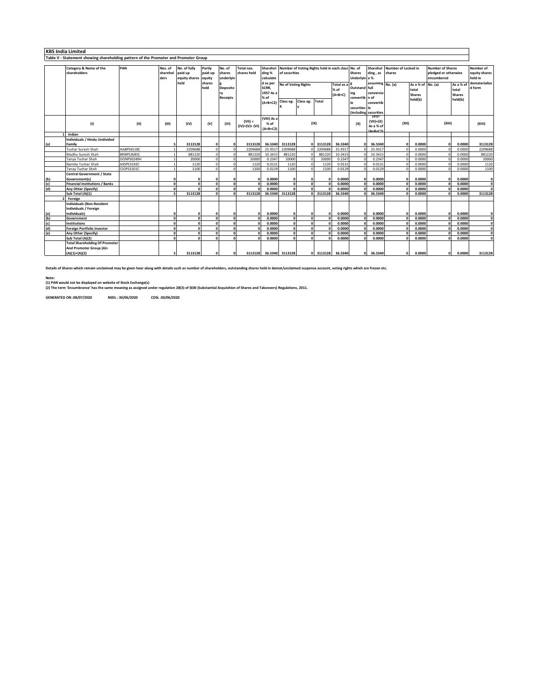## **KBS India Limited Table II - Statement showing shareholding pattern of the Promoter and Promoter Group**

|                   | Category & Name of the                | PAN               | Nos. of             | No. of fully  | Partly       | No. of          | Total nos.      |                         |                     | Sharehol Number of Voting Rights held in each class No. of |                   |               |               | Sharehol<br>Number of Locked in |              |                        | <b>Number of Shares</b> |                        | Number of     |
|-------------------|---------------------------------------|-------------------|---------------------|---------------|--------------|-----------------|-----------------|-------------------------|---------------------|------------------------------------------------------------|-------------------|---------------|---------------|---------------------------------|--------------|------------------------|-------------------------|------------------------|---------------|
|                   | shareholders                          |                   | sharehol            | paid up       | paid-up      | shares          | shares held     | ding %                  | of securities       |                                                            |                   | <b>Shares</b> | ding, as      | shares                          |              | pledged or otherwise   |                         | equity shares          |               |
|                   |                                       |                   | ders                | equity shares | equity       | underlyin       |                 | calculate               |                     |                                                            |                   |               | Underlyin a % |                                 |              |                        | encumbered              |                        | held in       |
|                   |                                       |                   |                     | held          | shares       |                 |                 | d as per                | No of Voting Rights |                                                            |                   | Total as a    |               | assuming No. (a)                |              | As a % of No. (a)      |                         | As a % of              | dematerialise |
|                   |                                       |                   |                     |               | held         | <b>Deposito</b> |                 | SCRR,                   |                     |                                                            |                   | $%$ of        | Outstand full |                                 |              | total<br><b>Shares</b> |                         | total<br><b>Shares</b> | d form        |
|                   |                                       |                   |                     |               |              | rv              |                 | 1957 As a               |                     |                                                            |                   | $(A+B+C)$     | ing           | conversio                       |              |                        |                         |                        |               |
|                   |                                       |                   |                     |               |              | <b>Receipts</b> |                 | % of                    |                     |                                                            |                   |               |               | convertib in of                 |              | held(b)                |                         | held(b)                |               |
|                   |                                       |                   |                     |               |              |                 |                 | $(A+B+C2)$              | Class eg:           | Class eg:                                                  | Total             |               | le            | convertib                       |              |                        |                         |                        |               |
|                   |                                       |                   |                     |               |              |                 |                 |                         |                     |                                                            |                   |               | securities le |                                 |              |                        |                         |                        |               |
|                   |                                       |                   |                     |               |              |                 |                 |                         |                     |                                                            |                   |               |               | (including securities           |              |                        |                         |                        |               |
|                   |                                       |                   |                     |               |              |                 |                 | (VIII) As a             |                     |                                                            |                   |               |               | $(X) =$                         |              |                        |                         |                        |               |
|                   | (1)                                   | (11)              | (III)               | (IV)          | (V)          | (VI)            | $(VII) =$       | % of                    |                     |                                                            | (IX)              |               | (X)           | $(VII)+(X)$                     | (XII)        |                        | (X  )                   |                        | (XIV)         |
|                   |                                       |                   |                     |               |              |                 | $(IV)+(V)+(VI)$ | $(A+B+C2)$              |                     |                                                            |                   |               |               | As a % of<br><b>A+B+C21</b>     |              |                        |                         |                        |               |
|                   | Indian                                |                   |                     |               |              |                 |                 |                         |                     |                                                            |                   |               |               |                                 |              |                        |                         |                        |               |
|                   | Individuals / Hindu Undivided         |                   |                     |               |              |                 |                 |                         |                     |                                                            |                   |               |               |                                 |              |                        |                         |                        |               |
| (a)               | Family                                |                   |                     | 3113128       |              | $\sqrt{2}$      | 3113128         |                         | 36.5340 3113128     |                                                            | 3113128           | 36.5340       | ΩI            | 36.5340                         | $\Omega$     | 0.0000                 | $\sqrt{2}$              | 0.0000                 | 3113128       |
|                   | <b>Tushar Suresh Shah</b>             | AABPS6518C        |                     | 2209688       |              | $\Omega$        | 2209688         | 25.9317                 | 2209688             |                                                            | 2209688           | 25.9317       |               | 25,9317                         |              | 0.0000                 |                         | 0.0000                 | 2209688       |
|                   | Madhu Suresh Shah                     | <b>BRNPS2685C</b> |                     | 881220        |              | $\Omega$        | 881220          | 10.3415                 | 881220              |                                                            | 88122             | 10.3415       |               | 10.3415                         |              | 0.0000                 |                         | 0.0000                 | 881220        |
|                   | Tanya Tushar Shah                     | DONPS0249H        |                     | 20000         |              |                 | 20000           | 0.2347                  | 20000               |                                                            | 20000             | 0.2347        |               | 0.2347                          |              | 0.0000                 |                         | 0.0000                 | 20000         |
|                   | Namita Tushar Shah                    | AXSPS3192C        |                     | 1120          |              | $\Omega$        | 1120            | 0.0131                  | 1120                |                                                            | 1120              | 0.0131        |               | 0.0131                          |              | 0.0000                 |                         | 0.0000                 | 1120          |
|                   | Tanay Tushar Shah                     | CIOPS3101C        |                     | 1100          |              | $\Omega$        | 1100            | 0.0129                  | 1100                |                                                            | 1100              | 0.0129        |               | 0.0129                          |              | 0.0000                 |                         | 0.0000                 | 1100          |
|                   | <b>Central Government / State</b>     |                   |                     |               |              |                 |                 |                         |                     |                                                            |                   |               |               |                                 |              |                        |                         |                        |               |
|                   | Government(s)                         |                   |                     |               |              |                 | $\mathbf{o}$    | 0.0000                  |                     |                                                            | $\Omega$          | 0.0000        | $\Omega$      | 0.0000                          | $\mathbf{0}$ | 0.0000                 | $\Omega$                | 0.0000                 | $\Omega$      |
| (b)<br>(c)<br>(d) | <b>Financial Institutions / Banks</b> |                   | $\sqrt{2}$          | $\sqrt{2}$    | $\mathbf{a}$ | $\Omega$        | $\Omega$        | 0.0000                  |                     |                                                            |                   | 0.0000        |               | 0.0000                          |              | 0.0000                 |                         | 0.0000                 | $\sqrt{2}$    |
|                   | Any Other (Specify)                   |                   | $\sqrt{2}$          |               | $\Omega$     | $\sqrt{2}$      | $\sqrt{2}$      | 0.0000                  |                     |                                                            |                   | 0.0000        |               | 0.0000                          |              | 0.0000                 |                         | 0.0000                 | $\mathbf{a}$  |
|                   | Sub Total (A)(1)                      |                   | $\bar{\phantom{a}}$ | 3113128       | $\Omega$     | $\sqrt{2}$      | 3113128         |                         | 36.5340 3113128     |                                                            | 3113128           | 36.5340       |               | 36.5340                         |              | 0.0000                 |                         | 0.0000                 | 3113128       |
|                   | Foreign                               |                   |                     |               |              |                 |                 |                         |                     |                                                            |                   |               |               |                                 |              |                        |                         |                        |               |
|                   | <b>Individuals (Non-Resident</b>      |                   |                     |               |              |                 |                 |                         |                     |                                                            |                   |               |               |                                 |              |                        |                         |                        |               |
|                   | Individuals / Foreign                 |                   |                     |               |              |                 |                 |                         |                     |                                                            |                   |               |               |                                 |              |                        |                         |                        |               |
|                   | Individuals)                          |                   | $\Omega$            |               | O            | 0               | $\Omega$        | 0.0000                  | n                   |                                                            | $\Omega$          | 0.0000        | $\Omega$      | 0.0000                          | $\Omega$     | 0.0000                 | n                       | 0.0000                 |               |
| $(a)$<br>$(b)$    | Government                            |                   | $\mathbf{a}$        |               |              |                 | $\Omega$        | 0.0000                  | n                   |                                                            | n                 | 0.0000        | $\mathbf{a}$  | 0.0000                          | $\mathbf{r}$ | 0.0000                 |                         | 0.0000                 | $\mathbf{a}$  |
| (c)               | <b>Institutions</b>                   |                   | $\sqrt{2}$          |               |              |                 | $\Omega$        | 0.0000                  |                     |                                                            |                   | 0.0000        |               | 0.0000                          |              | 0.0000                 |                         | 0.0000                 | $\mathbf{a}$  |
| (d)               | <b>Foreign Portfolio Investor</b>     |                   |                     |               |              |                 |                 | 0.0000                  |                     |                                                            |                   | 0.0000        |               | 0.0000                          |              | 0.0000                 |                         | 0.0000                 | $\sqrt{2}$    |
| (e)               | <b>Any Other (Specify)</b>            |                   |                     |               |              |                 |                 | 0.0000                  |                     |                                                            |                   | 0.0000        |               | 0.0000                          |              | 0.0000                 |                         | 0.0000                 | n             |
|                   | Sub Total (A)(2)                      |                   |                     | $\sqrt{2}$    |              | $\sqrt{2}$      | $\Omega$        | 0.0000                  |                     |                                                            |                   | 0.0000        |               | 0.0000                          |              | 0.0000                 |                         | 0.0000                 |               |
|                   | <b>Total Shareholding Of Promoter</b> |                   |                     |               |              |                 |                 |                         |                     |                                                            |                   |               |               |                                 |              |                        |                         |                        |               |
|                   | And Promoter Group (A)=               |                   |                     |               |              |                 |                 |                         |                     |                                                            |                   |               |               |                                 |              |                        |                         |                        |               |
|                   | $(A)(1)+(A)(2)$                       |                   |                     | 3113128       | $\Omega$     | $\Omega$        |                 | 3113128 36.5340 3113128 |                     |                                                            | 0 3113128 36.5340 |               | ΩL            | 36.5340                         | $\Omega$     | 0.0000                 | $\Omega$                | 0.0000                 | 3113128       |

**Details of Shares which remain unclaimed may be given hear along with details such as number of shareholders, outstanding shares held in demat/unclaimed suspense account, voting rights which are frozen etc.**

Note:<br>(1) PAN would not be displayed on website of Stock Exchange(s)<br>(2) The term 'Encumbrance' has the same meaning as assigned under regulation 28(3) of SEBI (Substantial Acquisition of Shares and Takeovers) Regulations,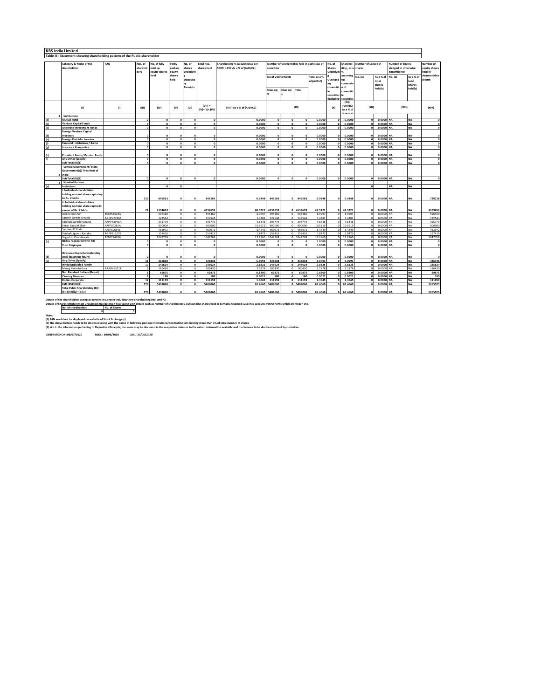|                             | <b>KBS India Limited</b>                                                     |            |                     |                         |                   |                      |                           |                                                                   |                                                             |                          |                   |                  |                  |                               |                      |                     |                                                 |                        |                            |
|-----------------------------|------------------------------------------------------------------------------|------------|---------------------|-------------------------|-------------------|----------------------|---------------------------|-------------------------------------------------------------------|-------------------------------------------------------------|--------------------------|-------------------|------------------|------------------|-------------------------------|----------------------|---------------------|-------------------------------------------------|------------------------|----------------------------|
|                             | Table III - Statement showing shareholding pattern of the Public shareholder |            |                     |                         |                   |                      |                           |                                                                   |                                                             |                          |                   |                  |                  |                               |                      |                     |                                                 |                        |                            |
|                             | Number of Locked in                                                          |            |                     |                         |                   |                      |                           |                                                                   |                                                             |                          |                   |                  |                  |                               |                      |                     |                                                 |                        |                            |
|                             | Category & Name of the<br>shareholders                                       | PAN        | Nos. of<br>sharehol | No. of fully<br>paid up | Partly<br>paid-up | No. of<br>shares     | Total nos.<br>shares held | Shareholding % calculated as per<br>SCRR, 1957 As a % of (A+B+C2) | Number of Voting Rights held in each class of<br>securities |                          |                   |                  | No. of<br>Shares | Sharehol<br>ding, as a shares |                      |                     | <b>Number of Shares</b><br>pledged or otherwise |                        | Number of<br>equity shares |
|                             |                                                                              |            | ders                | equity shares           | equity            | underlyin            |                           |                                                                   |                                                             |                          |                   |                  | Underlyin        | 1%                            |                      |                     | encumbered                                      |                        | held in                    |
|                             |                                                                              |            |                     | held                    | shares            |                      |                           |                                                                   | <b>No of Voting Rights</b>                                  |                          |                   | Total as a %     |                  | assuming                      | No. (a)              | As a % of           | No. (a)                                         | As a % o               | dematerialise              |
|                             |                                                                              |            |                     |                         | held              | Deposito             |                           |                                                                   |                                                             |                          |                   | of (A+B+C)       | Outstand         | full                          |                      | total               |                                                 | total                  | d form                     |
|                             |                                                                              |            |                     |                         |                   | rv                   |                           |                                                                   |                                                             |                          |                   |                  | ing              | conversio                     |                      | <b>Shares</b>       |                                                 | <b>Shares</b>          |                            |
|                             |                                                                              |            |                     |                         |                   | <b>Receipts</b>      |                           |                                                                   |                                                             | Class eg: Total          |                   |                  | convertib        | n of                          |                      | held(b)             |                                                 | held(b)                |                            |
|                             |                                                                              |            |                     |                         |                   |                      |                           |                                                                   | Class eg:                                                   |                          |                   |                  |                  | convertib                     |                      |                     |                                                 |                        |                            |
|                             |                                                                              |            |                     |                         |                   |                      |                           |                                                                   |                                                             |                          |                   |                  | securitie:       |                               |                      |                     |                                                 |                        |                            |
|                             |                                                                              |            |                     |                         |                   |                      |                           |                                                                   |                                                             |                          |                   |                  | includin         | ecuritie<br>(XI)              |                      |                     |                                                 |                        |                            |
|                             |                                                                              |            |                     |                         |                   |                      | $(VII) =$                 |                                                                   |                                                             |                          |                   |                  |                  | (VII)+(X)                     | (XII)                |                     |                                                 |                        |                            |
|                             | (1)                                                                          | (11)       | (III)               | (IV)                    | (v)               | (VI)                 | (IV)+(V)+ (VI)            | (VIII) As a % of (A+B+C2)                                         |                                                             |                          | (IX)              |                  | (X)              | As a % of                     |                      |                     | (XIII)                                          |                        | (XIV)                      |
|                             | Institutions                                                                 |            |                     |                         |                   |                      |                           |                                                                   |                                                             |                          |                   |                  |                  |                               |                      |                     |                                                 |                        |                            |
|                             | Mutual Fund                                                                  |            | o                   | $\Omega$                |                   | $\Omega$             |                           | 0.0000                                                            | $\Omega$                                                    | $\Omega$                 |                   | 0.0000           |                  | 0.0000                        | $\Omega$             | 0.0000 NA           |                                                 | <b>NA</b>              |                            |
| (b)                         | <b>Venture Capital Funds</b>                                                 |            | $\Omega$            | $\Omega$                |                   | $\Omega$             | $\Omega$                  | 0.0000                                                            | $\mathbf{o}$                                                | $\Omega$                 |                   | 0.0000           |                  | 0.0000                        | $\Omega$             | 0.0000 NA           |                                                 | <b>NA</b>              | $\mathbf{0}$               |
| (c)                         | Alternate Investment Funds                                                   |            | $\overline{0}$      | $\Omega$                |                   | $\circ$              | ō                         | 0.0000                                                            | $\bullet$                                                   | $\Omega$                 | $\Omega$          | 0.0000           |                  | 0.0000                        | $\Omega$             | 0.0000 NA           |                                                 | <b>NA</b>              | $\circ$                    |
|                             | Foreign Venture Capital                                                      |            |                     |                         |                   |                      |                           |                                                                   |                                                             |                          |                   |                  |                  |                               |                      |                     |                                                 |                        |                            |
| (d)                         | nvestors                                                                     |            |                     |                         |                   |                      |                           | 0.0000                                                            | $\Omega$                                                    |                          |                   | 0.0000           |                  | 0.0000                        |                      | 0.0000              | N <sub>A</sub>                                  | <b>NA</b>              |                            |
| (e)                         | Foreign Portfolio Investor                                                   |            | $\overline{0}$      | ō                       | $\Omega$          | $\overline{0}$       | ō                         | 0.0000                                                            | $\bullet$                                                   | $\overline{0}$           | $\Omega$          | 0.0000           |                  | 0.0000                        | $\overline{0}$       | 0.0000 NA           |                                                 | <b>NA</b>              | $\overline{\phantom{a}}$   |
| (f)                         | <b>Financial Institutions / Banks</b>                                        |            | $\Omega$            | $\Omega$                | $\Omega$          | $\Omega$             | $\mathbf{0}$              | 0.0000                                                            | $\circ$                                                     | $\Omega$                 | $\Omega$          | 0.0000           |                  | 0.0000                        | $\Omega$             | 0.0000 NA           |                                                 | <b>NA</b>              | $\circ$                    |
| $\left( \mathbf{c} \right)$ | Insurance Companies                                                          |            | $\Omega$            | $\mathbf{a}$            |                   | $\mathbf{r}$         | $\bullet$                 | 0.0000                                                            | $\mathbf{o}$                                                | $\overline{a}$           |                   | 0.0000           |                  | 0.0000                        | $\sqrt{2}$           | 0.0000              | <b>NA</b>                                       | <b>NA</b>              | $\mathfrak{a}$             |
|                             | Provident Funds/ Pension Funds                                               |            |                     |                         |                   |                      |                           |                                                                   |                                                             |                          |                   |                  |                  |                               |                      |                     |                                                 |                        |                            |
| (h)<br>(i)                  | Any Other (Specify)                                                          |            | $\overline{0}$      | $\Omega$<br>$\Omega$    | $\sqrt{2}$        | $\circ$              | ō                         | 0.0000<br>0.0000                                                  | $\Omega$<br>ō                                               | $\Omega$                 | $\circ$           | 0.0000<br>0.0000 |                  | 0.0000<br>0.0000              | $\Omega$             | 0.0000<br>0.0000 NA |                                                 | <b>NA</b><br><b>NA</b> | $\mathfrak{a}$<br>$\Omega$ |
|                             | Sub Total (B)(1)                                                             |            | $\Omega$            | $\Omega$                | $\Omega$          | $\circ$              | $\Omega$                  | 0.0000                                                            | $\circ$                                                     | $\Omega$                 | $\Omega$          | 0.0000           |                  | 0.0000                        | $\circ$              | 0.0000              | <b>NA</b>                                       | <b>NA</b>              | $\Omega$                   |
|                             | Central Government/ State                                                    |            |                     |                         |                   |                      |                           |                                                                   |                                                             |                          |                   |                  |                  |                               |                      |                     |                                                 |                        |                            |
|                             | Government(s)/ President of                                                  |            |                     |                         |                   |                      |                           |                                                                   |                                                             |                          |                   |                  |                  |                               |                      |                     |                                                 |                        |                            |
|                             | India                                                                        |            |                     |                         |                   |                      |                           |                                                                   |                                                             |                          |                   |                  |                  |                               |                      |                     |                                                 |                        |                            |
|                             | Sub Total (B)(2)                                                             |            | $\circ$             | $\Omega$                | $\Omega$          | $\Omega$             | $\Omega$                  | 0.0000                                                            | $\Omega$                                                    | $\Omega$                 | $\Omega$          | 0.0000           |                  | 0.0000                        | $\bullet$            | 0.0000 NA           |                                                 | <b>NA</b>              |                            |
|                             | <b>Non-Institutions</b>                                                      |            |                     |                         |                   |                      |                           |                                                                   |                                                             |                          |                   |                  |                  |                               |                      |                     |                                                 |                        |                            |
|                             | Individuals                                                                  |            |                     | $\mathbf{r}$            |                   |                      |                           |                                                                   |                                                             |                          |                   |                  |                  |                               |                      |                     | NΔ                                              | <b>NA</b>              |                            |
|                             | Individual shareholders                                                      |            |                     |                         |                   |                      |                           |                                                                   |                                                             |                          |                   |                  |                  |                               |                      |                     |                                                 |                        |                            |
|                             | holding nominal share capital up<br>to Rs. 2 lakhs.                          |            |                     |                         |                   |                      |                           |                                                                   |                                                             | $\Omega$                 |                   |                  |                  |                               | $\sqrt{2}$           |                     |                                                 |                        |                            |
|                             | i. Individual shareholders                                                   |            | 726                 | 846563                  |                   |                      | 846563                    | 9.9348                                                            | 846563                                                      |                          | 846563            | 9.9348           |                  | 9.9348                        |                      | 0.0000 NA           |                                                 | <b>NA</b>              | 729128                     |
|                             | holding nominal share capital in                                             |            |                     |                         |                   |                      |                           |                                                                   |                                                             |                          |                   |                  |                  |                               |                      |                     |                                                 |                        |                            |
|                             | excess of Rs. 2 lakhs.                                                       |            | 21                  | 4134659                 |                   |                      | 4134659                   | 48.5221                                                           | 4134659                                                     | $\Omega$                 | 4134659           | 48.5221          |                  | 48.522                        |                      | 0.0000 NA           |                                                 | <b>NA</b>              | 4109659                    |
|                             | Jeet Ketan Shah                                                              | BOKPS8623A |                     | 596460                  |                   | $\circ$              | 596460                    | 6.9997                                                            | 596460                                                      | $\Omega$                 | 596460            | 6.9997           | $\Omega$         | 6.9997                        | $\Omega$             | 0.0000              | <b>NA</b>                                       | <b>NA</b>              | 596460                     |
|                             | Jignesh Suresh Kanakia                                                       | AGOPK7296. |                     | 122544                  |                   | $\Omega$             | 122544                    | 1,4381                                                            | 122544                                                      |                          | 122544            | 1.438            |                  | 1,438                         |                      | 0.0000              | <b>NA</b>                                       | NA                     | 122544                     |
|                             | Kalavati Suresh Kanakia                                                      | AAHPK3948A |                     | 395779                  |                   |                      | 395779                    | 4.6446                                                            | 395779                                                      |                          | 395779            | 4.6446           |                  | 4,6446                        |                      | 0.0000              | NΔ                                              | <b>NA</b>              | 395779                     |
|                             | Ketan Babulal Shah                                                           | AAFPS0285A |                     | 900000                  |                   | $\circ$              | 90000                     | 10.5619                                                           | 900000                                                      | $\Omega$                 | 90000             | 10.5619          |                  | 10.561                        | $\theta$             | 0.0000              | <b>NA</b>                                       | <b>NA</b>              | 900000                     |
|                             | Sandeep P Shah                                                               | AAEPS0664E |                     | 463972                  | $\Omega$          | $\Omega$             | 46397                     | 5.4449                                                            | 46397                                                       | $\Omega$                 | 46397             | 5.4449           |                  | 5.4449                        | $\Omega$             | 0.0000              | <b>NA</b>                                       | <b>NA</b>              | 46397                      |
|                             | Vaishali Jignesh Kanakia<br>Yogesh H Chandawala                              | AGPPK1927K |                     | 157416<br>1047769       |                   |                      | 157416<br>1047769         | 1.847<br>12.2960                                                  | 157416<br>1047769                                           | $\overline{0}$           | 157416<br>1047769 | 1.847<br>12,2960 |                  | 1.847<br>12.296               | $\Omega$             | 0.0000<br>0.0000    | NΔ<br><b>NA</b>                                 | <b>NA</b><br><b>NA</b> | 157416                     |
|                             | <b>NBFCs registered with RBI</b>                                             | AEBPC9469A | $\Omega$            | $\sqrt{2}$              | $\mathbf{a}$      | $\circ$<br>$\Omega$  | $\Omega$                  | 0.0000                                                            |                                                             | $\circ$<br>$\Omega$      |                   | 0.0000           |                  | 0.0000                        | $\Omega$             | 0.0000 NA           |                                                 | <b>NA</b>              | 1047769<br>$\epsilon$      |
|                             | <b>Trust Employee</b>                                                        |            | $\Omega$            | $\Omega$                |                   | $\Omega$             | $\Omega$                  | 0.0000                                                            | $\circ$                                                     | $\Omega$                 |                   | 0.0000           |                  | 0.0000                        | $\Omega$             | 0.0000 NA           |                                                 | <b>NA</b>              | $\mathbf{0}$               |
|                             |                                                                              |            |                     |                         |                   |                      |                           |                                                                   |                                                             |                          |                   |                  |                  |                               |                      |                     |                                                 |                        |                            |
|                             | <b>Overseas Depositories (holding</b>                                        |            |                     |                         |                   |                      |                           |                                                                   |                                                             |                          |                   |                  |                  |                               |                      |                     |                                                 |                        |                            |
| (d)                         | DRs) (balancing figure)                                                      |            |                     |                         |                   |                      |                           | 0.0000                                                            |                                                             |                          |                   | 0.0000           |                  | 0.0000                        | $\theta$             | 0.0000 NA           |                                                 | <b>NA</b>              |                            |
| (e)                         | Any Other (Specify)                                                          |            | 31                  | 426838                  | $\mathbf{a}$      | $\mathbf{0}$         | 426838                    | 5.0091                                                            | 426838                                                      | $\sim$                   | 426838            | 5.009            | $\mathbf{r}$     | 5.009                         | $\overline{a}$       | 0.0000              | <b>NA</b>                                       | <b>NA</b>              | 426738                     |
|                             | Hindu Undivided Family                                                       |            | 17                  | 245624                  |                   | $\Omega$             | 245624                    | 2.8825                                                            | 245624                                                      | $\mathfrak{a}$           | 245624            | 2.8825           |                  | 2.8825                        | $\Omega$             | 0.0000              | <b>NA</b>                                       | <b>NA</b>              | 245624                     |
|                             | Manoj Bhimshi Gala                                                           | AAJHM8521K |                     | 186430                  |                   | $\circ$              | 186430                    | 2.1878                                                            | 186430                                                      | $\Omega$                 | 186430            | 2.1878           |                  | 2.187                         |                      | 0.0000              | NA                                              | <b>NA</b>              | 186430                     |
|                             | Non Resident Indians (Repat)                                                 |            |                     | 69875                   | $\sim$            | $\mathbf{0}$         | 69875                     | 0.8200                                                            | 69875                                                       | $\sqrt{2}$               | 69875             | 0.8200           |                  | 0.8200                        | $\overline{a}$       | 0.0000              | <b>NA</b>                                       | <b>NA</b>              | 6987                       |
|                             | <b>Clearing Member</b><br><b>Bodies Corporate</b>                            |            | 12                  | 180<br>111159           | $\Omega$          | $\Omega$<br>$\Omega$ | 180<br>111159             | 0.0021<br>1.3045                                                  | 180<br>111159                                               | $\mathbf{a}$<br>$\Omega$ | 180<br>111159     | 0.0021<br>1.3045 | $\mathbf{r}$     | 0.002<br>1.3045               | $\Omega$<br>$\Omega$ | 0.0000<br>0.0000 NA | <b>NA</b>                                       | <b>NA</b><br><b>NA</b> | 180<br>111059              |
|                             | Sub Total (B)(3)                                                             |            | 778                 | 5408060                 | $\sim$            | $\sim$               | 5408060                   | 63,4660                                                           | 5408060                                                     |                          | 0 5408060         | 63,4660          | $\sim$           | 63,4660                       | $\mathbf{r}$         | 0.0000 NA           |                                                 | <b>NA</b>              | 5265525                    |
|                             | Total Public Shareholding (B)=                                               |            |                     |                         |                   |                      |                           |                                                                   |                                                             |                          |                   |                  |                  |                               |                      |                     |                                                 |                        |                            |
|                             | $B)(1)+(B)(2)+(B)(3)$                                                        |            | 778                 | 5408060                 |                   |                      | 5408060                   | 63,4660                                                           | 5408060                                                     | $\Omega$                 | 5408060           | 63,4660          |                  | 63,4660                       | $\Omega$             | 0.0000 NA           |                                                 | <b>NA</b>              | 5265525                    |

Details of the shareholders acting as persons in Concert including their Shareholders, Max and Ski et als also the shareholders, outstanding shares held in demat/unclaimed suspense account, voting rights which are frozen e

Note:<br>(1) PAN would not be displayed on website of Stock Exchange(s).<br>(2) The above format needs to be disclosed along with the name of following persons:institution/Non Institutions Indiang more than 1% of total number of